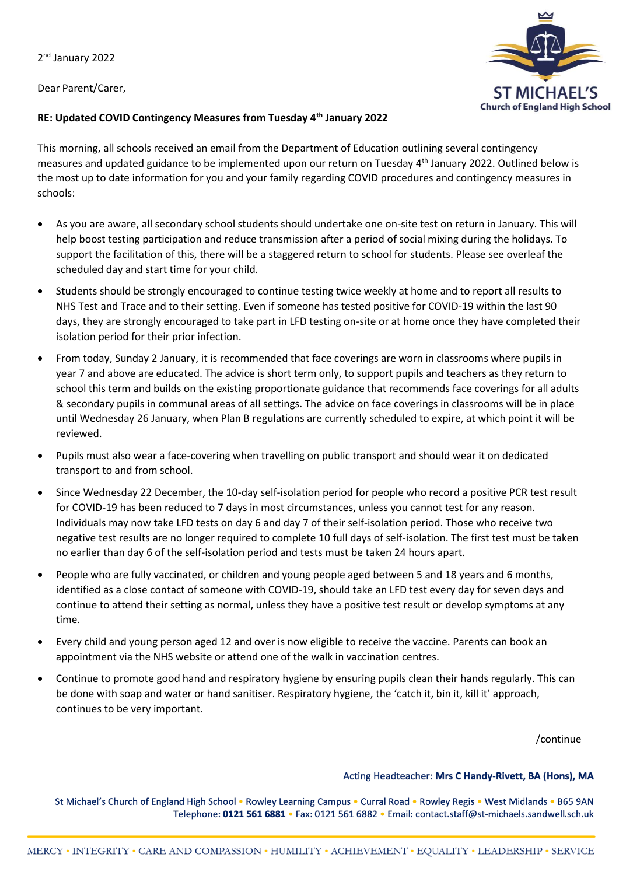2<sup>nd</sup> January 2022

Dear Parent/Carer,



### **RE: Updated COVID Contingency Measures from Tuesday 4th January 2022**

This morning, all schools received an email from the Department of Education outlining several contingency measures and updated guidance to be implemented upon our return on Tuesday 4th January 2022. Outlined below is the most up to date information for you and your family regarding COVID procedures and contingency measures in schools:

- As you are aware, all secondary school students should undertake one on-site test on return in January. This will help boost testing participation and reduce transmission after a period of social mixing during the holidays. To support the facilitation of this, there will be a staggered return to school for students. Please see overleaf the scheduled day and start time for your child.
- Students should be strongly encouraged to continue testing twice weekly at home and to report all results to NHS Test and Trace and to their setting. Even if someone has tested positive for COVID-19 within the last 90 days, they are strongly encouraged to take part in LFD testing on-site or at home once they have completed their isolation period for their prior infection.
- From today, Sunday 2 January, it is recommended that face coverings are worn in classrooms where pupils in year 7 and above are educated. The advice is short term only, to support pupils and teachers as they return to school this term and builds on the existing proportionate guidance that recommends face coverings for all adults & secondary pupils in communal areas of all settings. The advice on face coverings in classrooms will be in place until Wednesday 26 January, when Plan B regulations are currently scheduled to expire, at which point it will be reviewed.
- Pupils must also wear a face-covering when travelling on public transport and should wear it on dedicated transport to and from school.
- Since Wednesday 22 December, the 10-day self-isolation period for people who record a positive PCR test result for COVID-19 has been reduced to 7 days in most circumstances, unless you cannot test for any reason. Individuals may now take LFD tests on day 6 and day 7 of their self-isolation period. Those who receive two negative test results are no longer required to complete 10 full days of self-isolation. The first test must be taken no earlier than day 6 of the self-isolation period and tests must be taken 24 hours apart.
- People who are fully vaccinated, or children and young people aged between 5 and 18 years and 6 months, identified as a close contact of someone with COVID-19, should take an LFD test every day for seven days and continue to attend their setting as normal, unless they have a positive test result or develop symptoms at any time.
- Every child and young person aged 12 and over is now eligible to receive the vaccine. Parents can book an appointment via the NHS website or attend one of the walk in vaccination centres.
- Continue to promote good hand and respiratory hygiene by ensuring pupils clean their hands regularly. This can be done with soap and water or hand sanitiser. Respiratory hygiene, the 'catch it, bin it, kill it' approach, continues to be very important.

/continue

#### Acting Headteacher: Mrs C Handy-Rivett, BA (Hons), MA

St Michael's Church of England High School . Rowley Learning Campus . Curral Road . Rowley Regis . West Midlands . B65 9AN Telephone: 0121 561 6881 · Fax: 0121 561 6882 · Email: contact.staff@st-michaels.sandwell.sch.uk